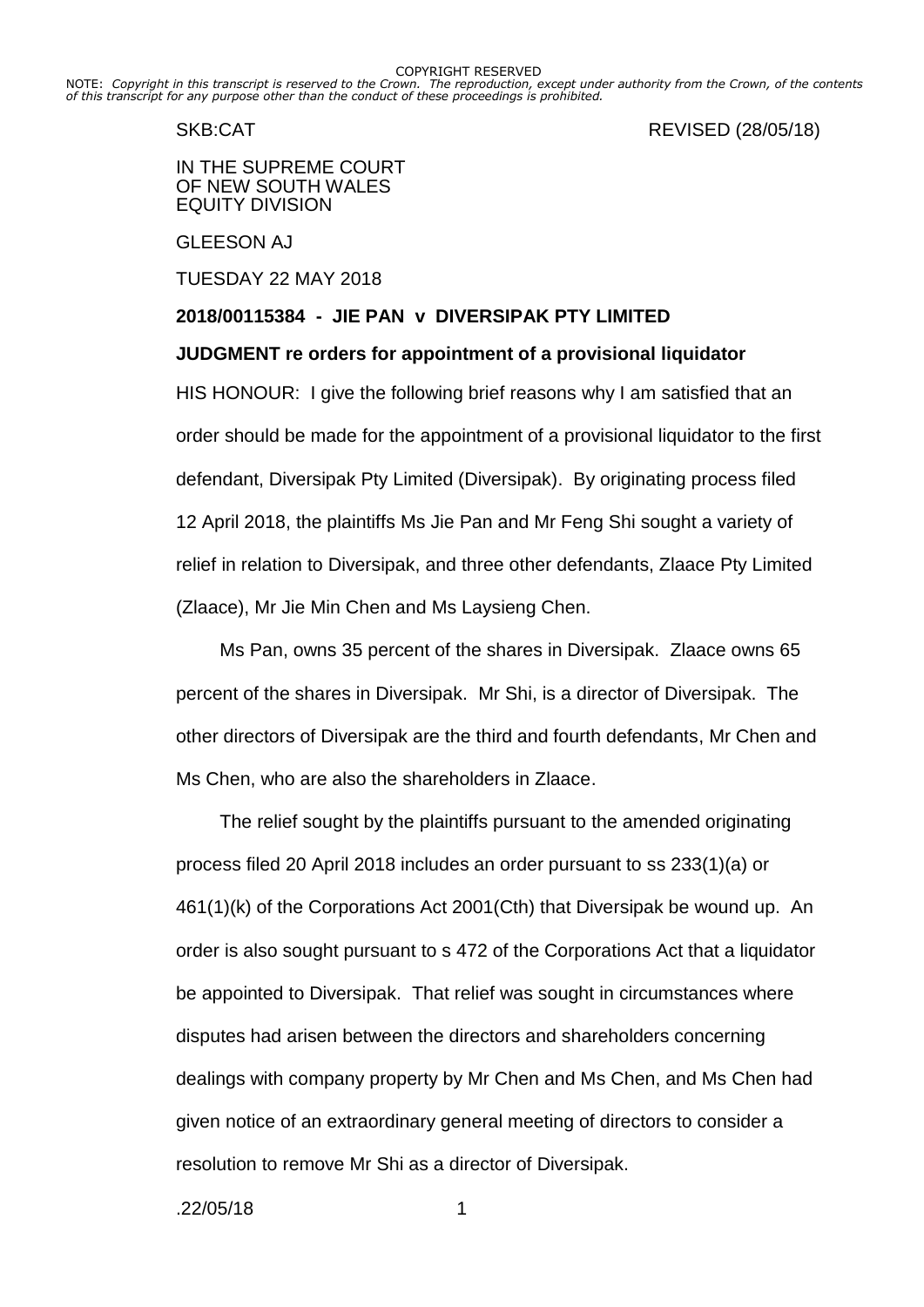NOTE: *Copyright in this transcript is reserved to the Crown. The reproduction, except under authority from the Crown, of the contents of this transcript for any purpose other than the conduct of these proceedings is prohibited.*

SKB:CAT REVISED (28/05/18)

IN THE SUPREME COURT OF NEW SOUTH WALES EQUITY DIVISION

GLEESON AJ

TUESDAY 22 MAY 2018

# **2018/00115384 - JIE PAN v DIVERSIPAK PTY LIMITED**

# **JUDGMENT re orders for appointment of a provisional liquidator**

HIS HONOUR: I give the following brief reasons why I am satisfied that an order should be made for the appointment of a provisional liquidator to the first defendant, Diversipak Pty Limited (Diversipak). By originating process filed 12 April 2018, the plaintiffs Ms Jie Pan and Mr Feng Shi sought a variety of relief in relation to Diversipak, and three other defendants, Zlaace Pty Limited (Zlaace), Mr Jie Min Chen and Ms Laysieng Chen.

Ms Pan, owns 35 percent of the shares in Diversipak. Zlaace owns 65 percent of the shares in Diversipak. Mr Shi, is a director of Diversipak. The other directors of Diversipak are the third and fourth defendants, Mr Chen and Ms Chen, who are also the shareholders in Zlaace.

The relief sought by the plaintiffs pursuant to the amended originating process filed 20 April 2018 includes an order pursuant to ss 233(1)(a) or 461(1)(k) of the Corporations Act 2001(Cth) that Diversipak be wound up. An order is also sought pursuant to s 472 of the Corporations Act that a liquidator be appointed to Diversipak. That relief was sought in circumstances where disputes had arisen between the directors and shareholders concerning dealings with company property by Mr Chen and Ms Chen, and Ms Chen had given notice of an extraordinary general meeting of directors to consider a resolution to remove Mr Shi as a director of Diversipak.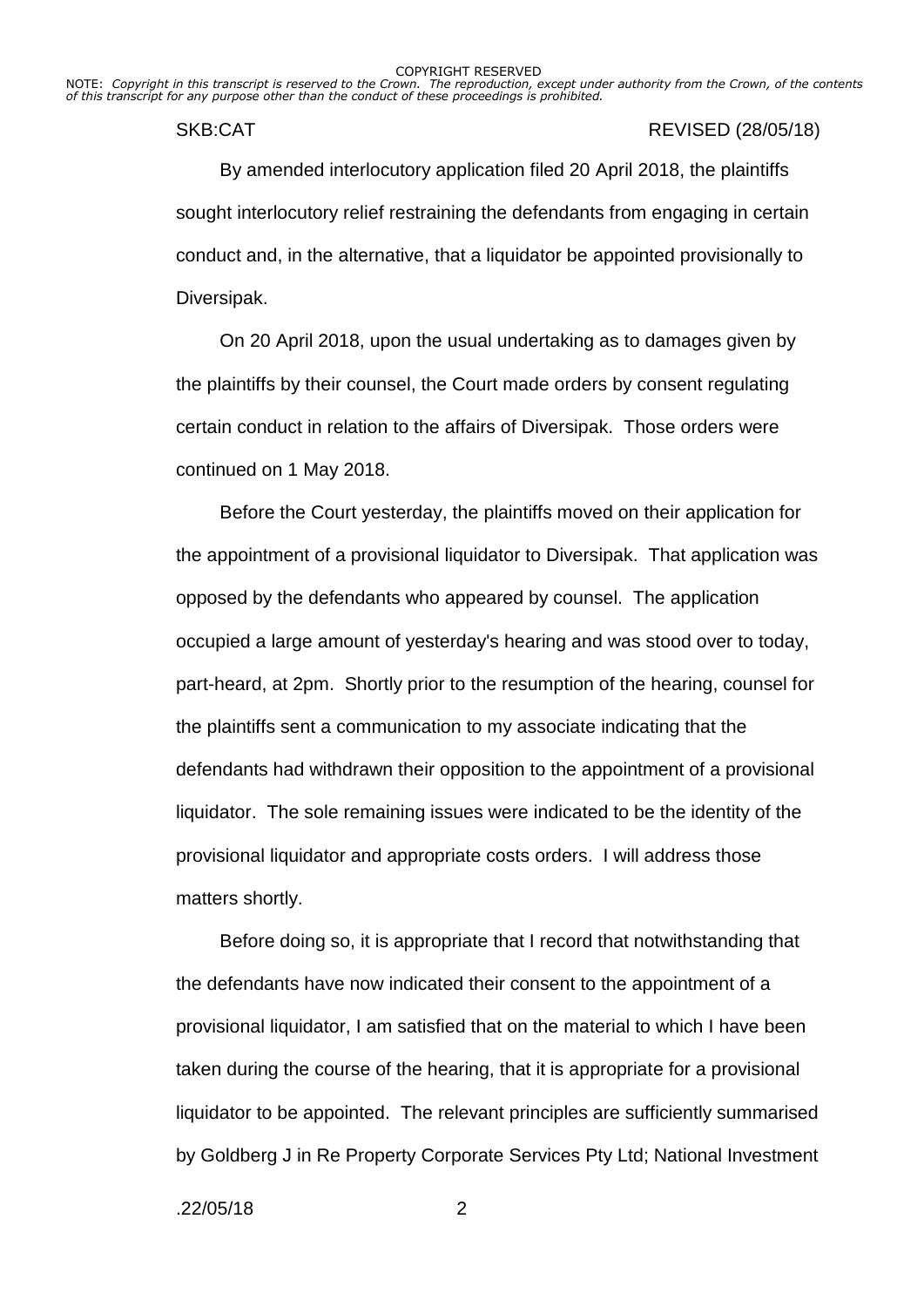NOTE: *Copyright in this transcript is reserved to the Crown. The reproduction, except under authority from the Crown, of the contents of this transcript for any purpose other than the conduct of these proceedings is prohibited.*

### SKB:CAT REVISED (28/05/18)

By amended interlocutory application filed 20 April 2018, the plaintiffs sought interlocutory relief restraining the defendants from engaging in certain conduct and, in the alternative, that a liquidator be appointed provisionally to Diversipak.

On 20 April 2018, upon the usual undertaking as to damages given by the plaintiffs by their counsel, the Court made orders by consent regulating certain conduct in relation to the affairs of Diversipak. Those orders were continued on 1 May 2018.

Before the Court yesterday, the plaintiffs moved on their application for the appointment of a provisional liquidator to Diversipak. That application was opposed by the defendants who appeared by counsel. The application occupied a large amount of yesterday's hearing and was stood over to today, part-heard, at 2pm. Shortly prior to the resumption of the hearing, counsel for the plaintiffs sent a communication to my associate indicating that the defendants had withdrawn their opposition to the appointment of a provisional liquidator. The sole remaining issues were indicated to be the identity of the provisional liquidator and appropriate costs orders. I will address those matters shortly.

Before doing so, it is appropriate that I record that notwithstanding that the defendants have now indicated their consent to the appointment of a provisional liquidator, I am satisfied that on the material to which I have been taken during the course of the hearing, that it is appropriate for a provisional liquidator to be appointed. The relevant principles are sufficiently summarised by Goldberg J in Re Property Corporate Services Pty Ltd; National Investment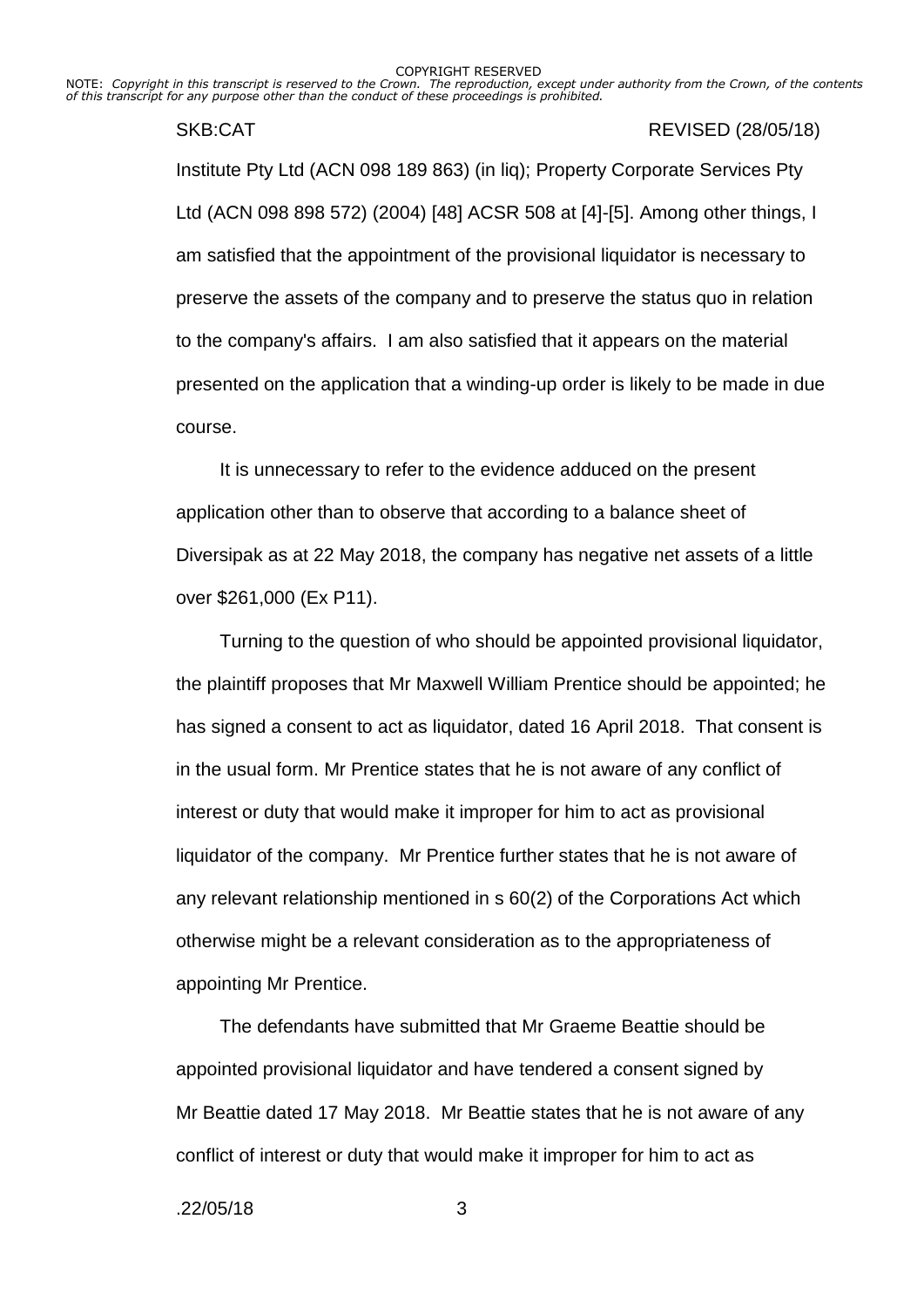NOTE: *Copyright in this transcript is reserved to the Crown. The reproduction, except under authority from the Crown, of the contents of this transcript for any purpose other than the conduct of these proceedings is prohibited.*

## SKB:CAT REVISED (28/05/18)

Institute Pty Ltd (ACN 098 189 863) (in liq); Property Corporate Services Pty Ltd (ACN 098 898 572) (2004) [48] ACSR 508 at [4]-[5]. Among other things, I am satisfied that the appointment of the provisional liquidator is necessary to preserve the assets of the company and to preserve the status quo in relation to the company's affairs. I am also satisfied that it appears on the material presented on the application that a winding-up order is likely to be made in due course.

It is unnecessary to refer to the evidence adduced on the present application other than to observe that according to a balance sheet of Diversipak as at 22 May 2018, the company has negative net assets of a little over \$261,000 (Ex P11).

Turning to the question of who should be appointed provisional liquidator, the plaintiff proposes that Mr Maxwell William Prentice should be appointed; he has signed a consent to act as liquidator, dated 16 April 2018. That consent is in the usual form. Mr Prentice states that he is not aware of any conflict of interest or duty that would make it improper for him to act as provisional liquidator of the company. Mr Prentice further states that he is not aware of any relevant relationship mentioned in s 60(2) of the Corporations Act which otherwise might be a relevant consideration as to the appropriateness of appointing Mr Prentice.

The defendants have submitted that Mr Graeme Beattie should be appointed provisional liquidator and have tendered a consent signed by Mr Beattie dated 17 May 2018. Mr Beattie states that he is not aware of any conflict of interest or duty that would make it improper for him to act as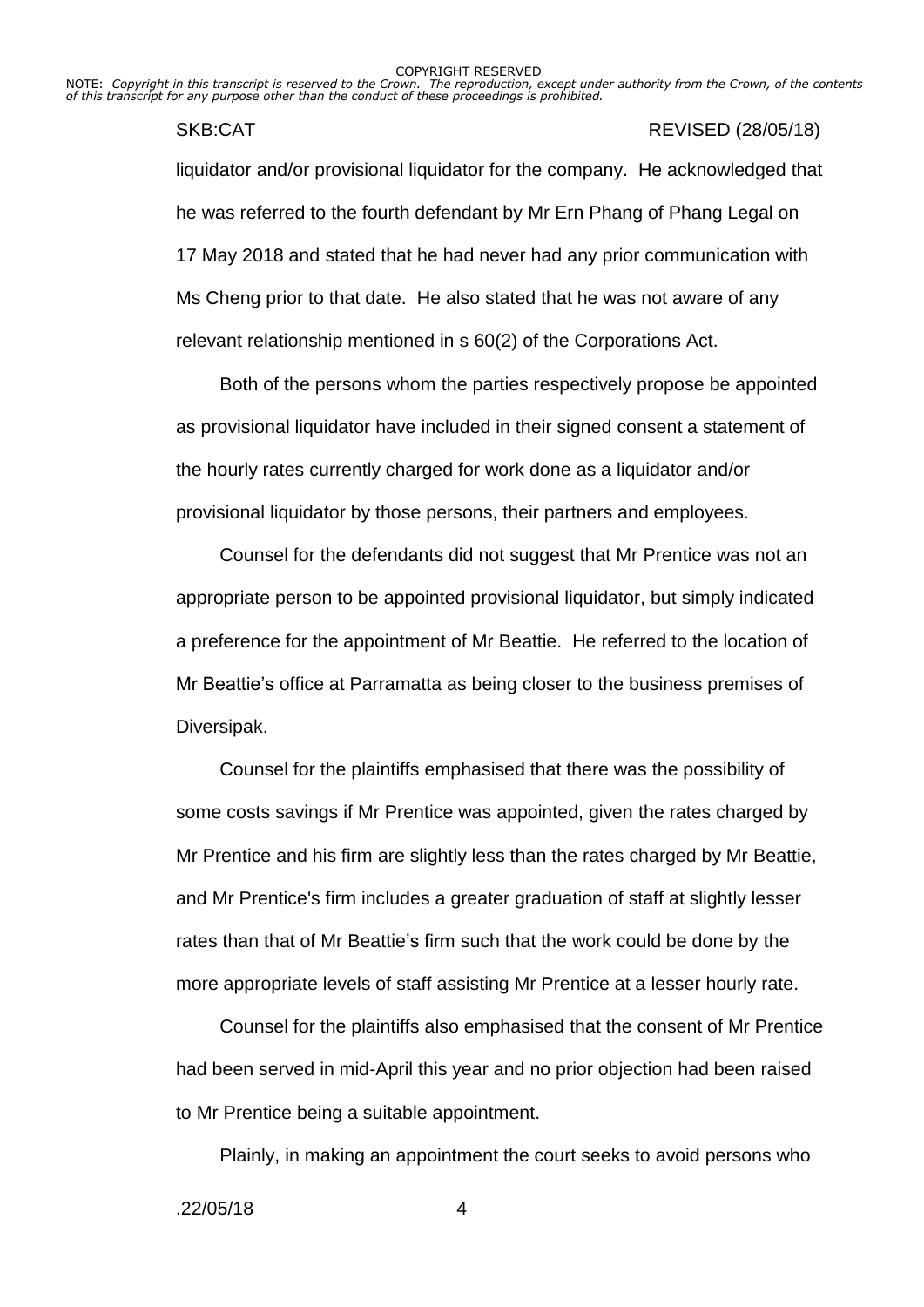NOTE: *Copyright in this transcript is reserved to the Crown. The reproduction, except under authority from the Crown, of the contents of this transcript for any purpose other than the conduct of these proceedings is prohibited.*

# SKB:CAT REVISED (28/05/18)

liquidator and/or provisional liquidator for the company. He acknowledged that he was referred to the fourth defendant by Mr Ern Phang of Phang Legal on 17 May 2018 and stated that he had never had any prior communication with Ms Cheng prior to that date. He also stated that he was not aware of any relevant relationship mentioned in s 60(2) of the Corporations Act.

Both of the persons whom the parties respectively propose be appointed as provisional liquidator have included in their signed consent a statement of the hourly rates currently charged for work done as a liquidator and/or provisional liquidator by those persons, their partners and employees.

Counsel for the defendants did not suggest that Mr Prentice was not an appropriate person to be appointed provisional liquidator, but simply indicated a preference for the appointment of Mr Beattie. He referred to the location of Mr Beattie's office at Parramatta as being closer to the business premises of Diversipak.

Counsel for the plaintiffs emphasised that there was the possibility of some costs savings if Mr Prentice was appointed, given the rates charged by Mr Prentice and his firm are slightly less than the rates charged by Mr Beattie, and Mr Prentice's firm includes a greater graduation of staff at slightly lesser rates than that of Mr Beattie's firm such that the work could be done by the more appropriate levels of staff assisting Mr Prentice at a lesser hourly rate.

Counsel for the plaintiffs also emphasised that the consent of Mr Prentice had been served in mid-April this year and no prior objection had been raised to Mr Prentice being a suitable appointment.

Plainly, in making an appointment the court seeks to avoid persons who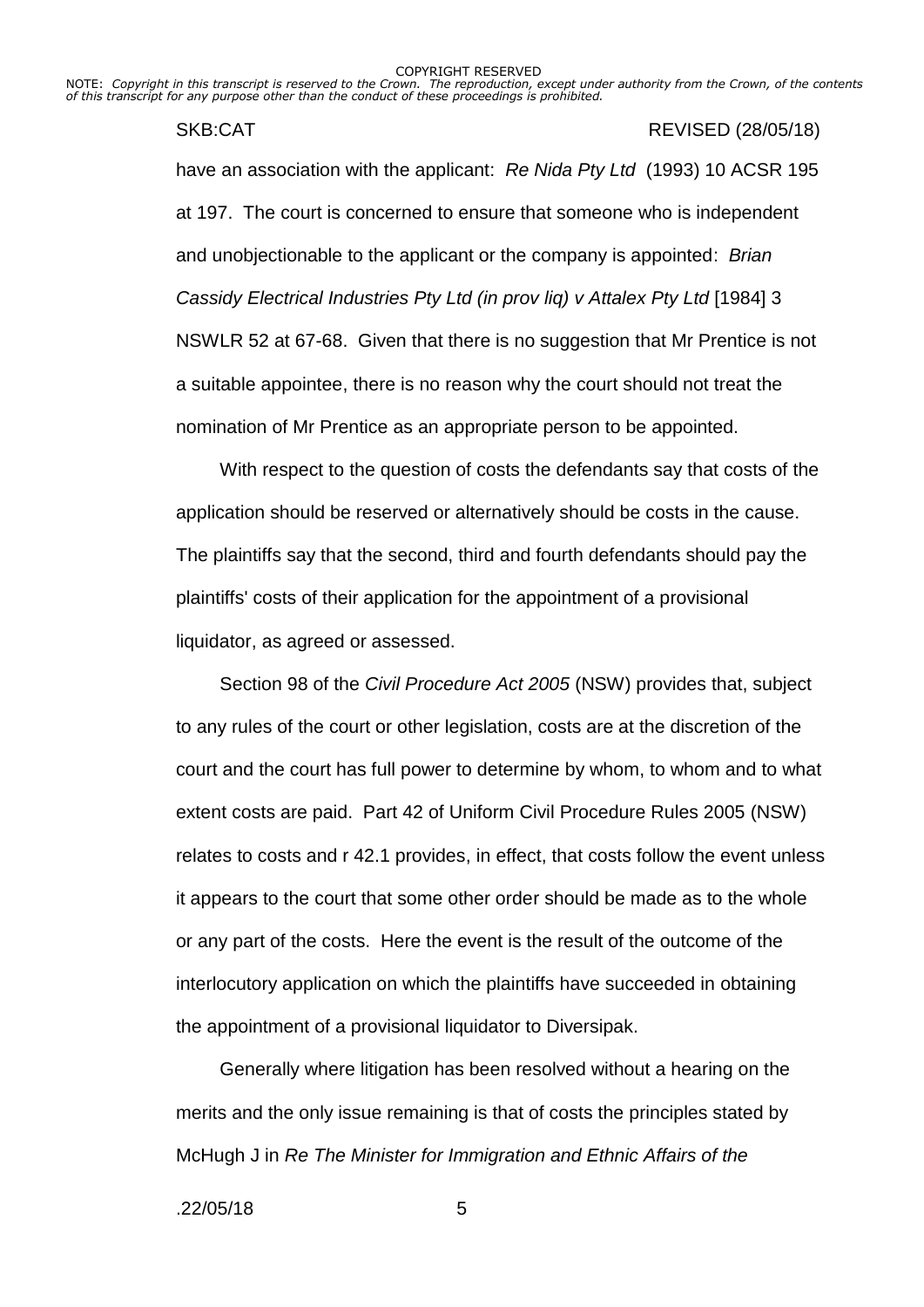NOTE: *Copyright in this transcript is reserved to the Crown. The reproduction, except under authority from the Crown, of the contents of this transcript for any purpose other than the conduct of these proceedings is prohibited.*

## SKB:CAT REVISED (28/05/18)

have an association with the applicant: *Re Nida Pty Ltd* (1993) 10 ACSR 195 at 197. The court is concerned to ensure that someone who is independent and unobjectionable to the applicant or the company is appointed: *Brian Cassidy Electrical Industries Pty Ltd (in prov liq) v Attalex Pty Ltd* [1984] 3 NSWLR 52 at 67-68. Given that there is no suggestion that Mr Prentice is not a suitable appointee, there is no reason why the court should not treat the nomination of Mr Prentice as an appropriate person to be appointed.

With respect to the question of costs the defendants say that costs of the application should be reserved or alternatively should be costs in the cause. The plaintiffs say that the second, third and fourth defendants should pay the plaintiffs' costs of their application for the appointment of a provisional liquidator, as agreed or assessed.

Section 98 of the *Civil Procedure Act 2005* (NSW) provides that, subject to any rules of the court or other legislation, costs are at the discretion of the court and the court has full power to determine by whom, to whom and to what extent costs are paid. Part 42 of Uniform Civil Procedure Rules 2005 (NSW) relates to costs and r 42.1 provides, in effect, that costs follow the event unless it appears to the court that some other order should be made as to the whole or any part of the costs. Here the event is the result of the outcome of the interlocutory application on which the plaintiffs have succeeded in obtaining the appointment of a provisional liquidator to Diversipak.

Generally where litigation has been resolved without a hearing on the merits and the only issue remaining is that of costs the principles stated by McHugh J in *Re The Minister for Immigration and Ethnic Affairs of the*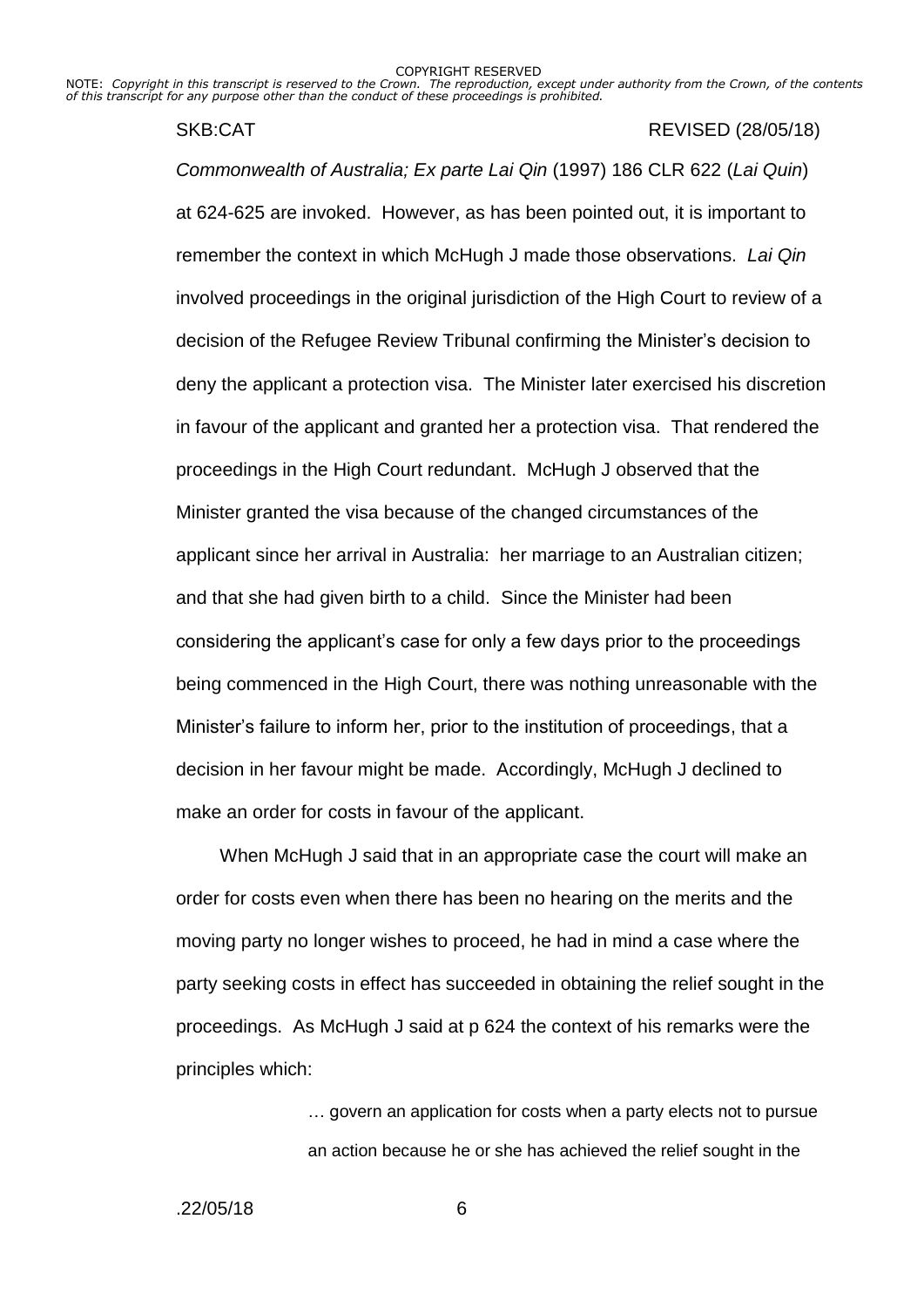NOTE: *Copyright in this transcript is reserved to the Crown. The reproduction, except under authority from the Crown, of the contents of this transcript for any purpose other than the conduct of these proceedings is prohibited.*

#### SKB:CAT REVISED (28/05/18)

*Commonwealth of Australia; Ex parte Lai Qin* (1997) 186 CLR 622 (*Lai Quin*) at 624-625 are invoked. However, as has been pointed out, it is important to remember the context in which McHugh J made those observations. *Lai Qin* involved proceedings in the original jurisdiction of the High Court to review of a decision of the Refugee Review Tribunal confirming the Minister's decision to deny the applicant a protection visa. The Minister later exercised his discretion in favour of the applicant and granted her a protection visa. That rendered the proceedings in the High Court redundant. McHugh J observed that the Minister granted the visa because of the changed circumstances of the applicant since her arrival in Australia: her marriage to an Australian citizen; and that she had given birth to a child. Since the Minister had been considering the applicant's case for only a few days prior to the proceedings being commenced in the High Court, there was nothing unreasonable with the Minister's failure to inform her, prior to the institution of proceedings, that a decision in her favour might be made. Accordingly, McHugh J declined to make an order for costs in favour of the applicant.

When McHugh J said that in an appropriate case the court will make an order for costs even when there has been no hearing on the merits and the moving party no longer wishes to proceed, he had in mind a case where the party seeking costs in effect has succeeded in obtaining the relief sought in the proceedings. As McHugh J said at p 624 the context of his remarks were the principles which:

> … govern an application for costs when a party elects not to pursue an action because he or she has achieved the relief sought in the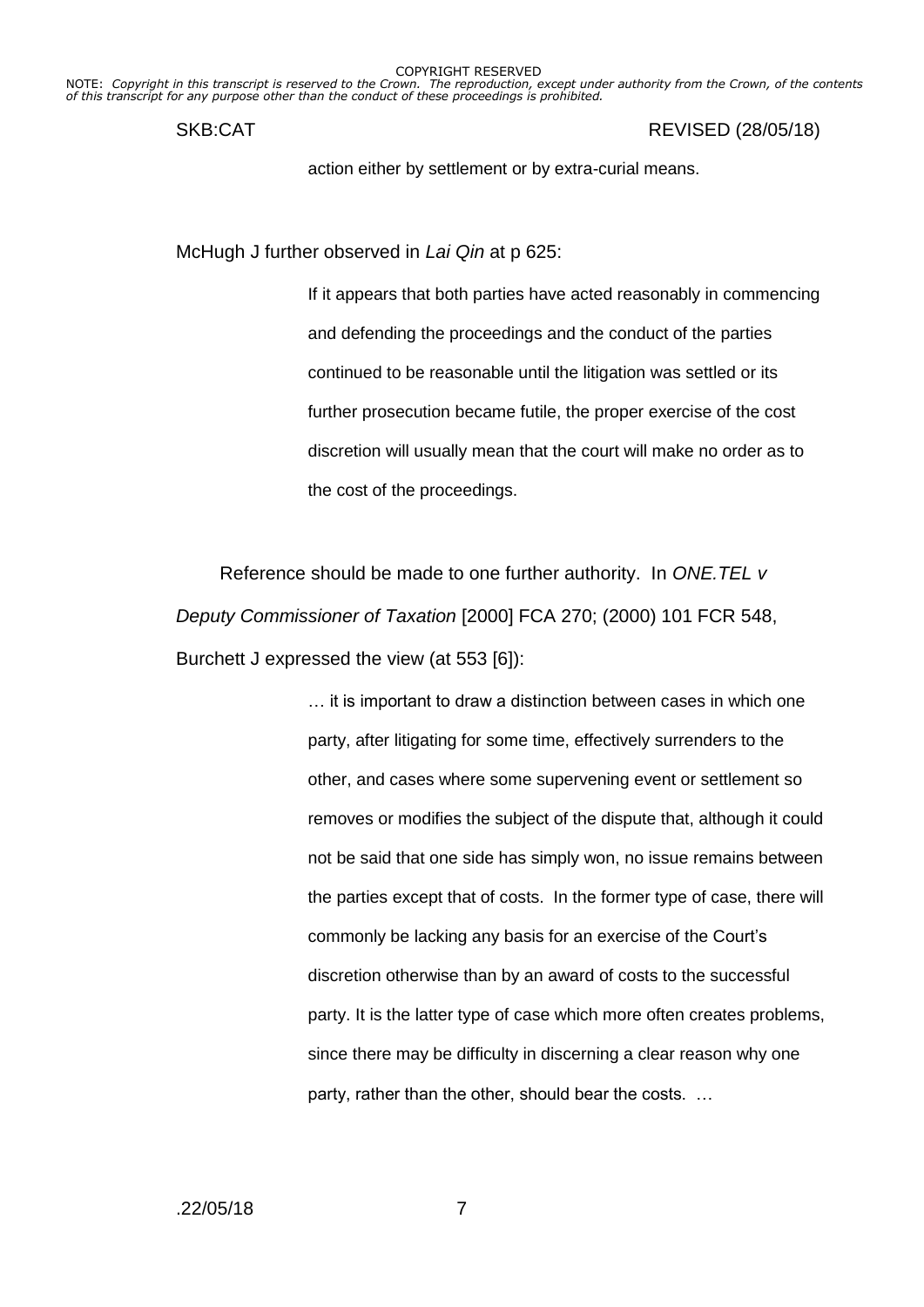NOTE: *Copyright in this transcript is reserved to the Crown. The reproduction, except under authority from the Crown, of the contents of this transcript for any purpose other than the conduct of these proceedings is prohibited.*

SKB:CAT REVISED (28/05/18)

action either by settlement or by extra-curial means.

McHugh J further observed in *Lai Qin* at p 625:

If it appears that both parties have acted reasonably in commencing and defending the proceedings and the conduct of the parties continued to be reasonable until the litigation was settled or its further prosecution became futile, the proper exercise of the cost discretion will usually mean that the court will make no order as to the cost of the proceedings.

Reference should be made to one further authority. In *ONE.TEL v Deputy Commissioner of Taxation* [2000] FCA 270; (2000) 101 FCR 548, Burchett J expressed the view (at 553 [6]):

> … it is important to draw a distinction between cases in which one party, after litigating for some time, effectively surrenders to the other, and cases where some supervening event or settlement so removes or modifies the subject of the dispute that, although it could not be said that one side has simply won, no issue remains between the parties except that of costs. In the former type of case, there will commonly be lacking any basis for an exercise of the Court's discretion otherwise than by an award of costs to the successful party. It is the latter type of case which more often creates problems, since there may be difficulty in discerning a clear reason why one party, rather than the other, should bear the costs. …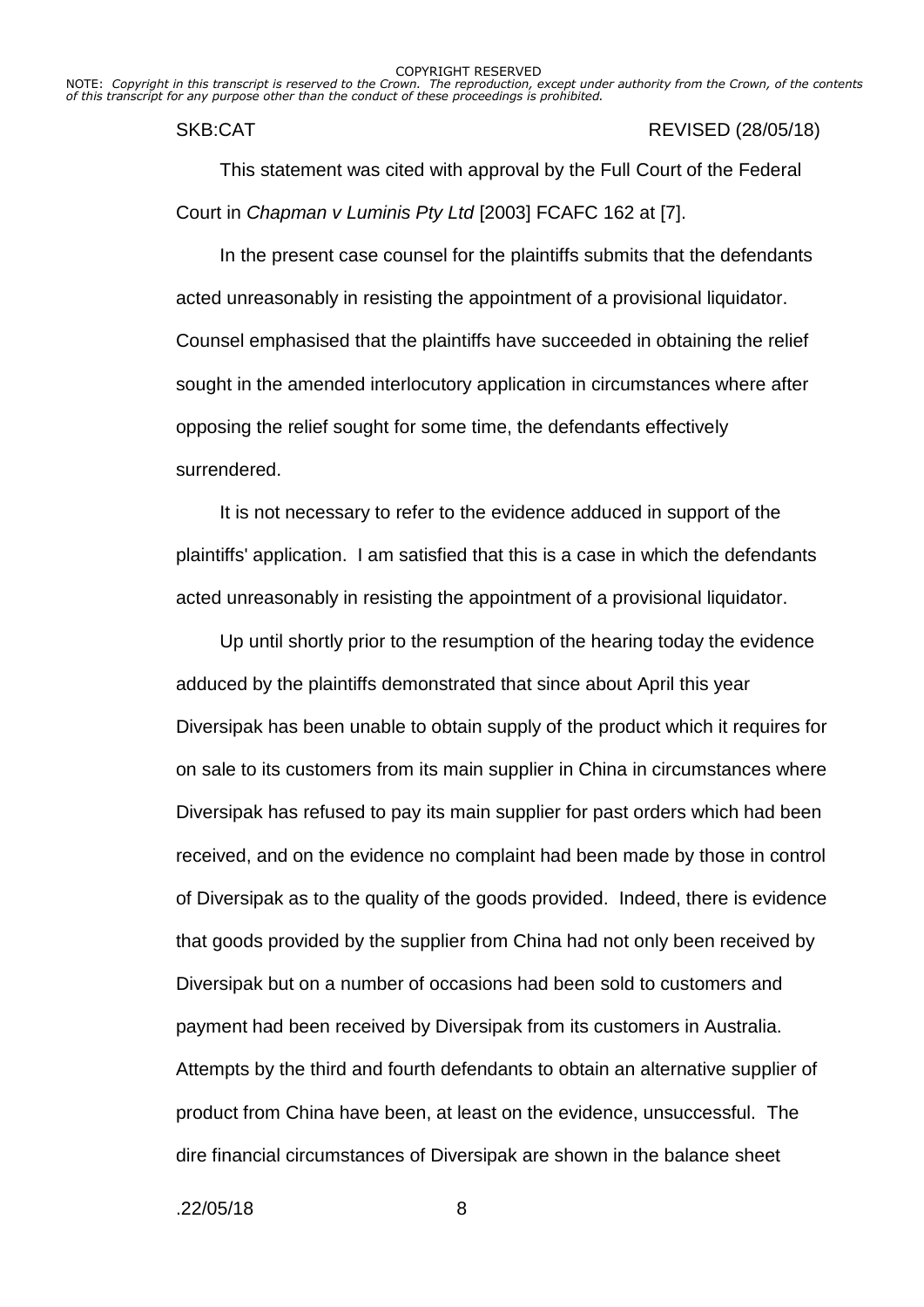NOTE: *Copyright in this transcript is reserved to the Crown. The reproduction, except under authority from the Crown, of the contents of this transcript for any purpose other than the conduct of these proceedings is prohibited.*

### SKB:CAT REVISED (28/05/18)

This statement was cited with approval by the Full Court of the Federal Court in *Chapman v Luminis Pty Ltd* [2003] FCAFC 162 at [7].

In the present case counsel for the plaintiffs submits that the defendants acted unreasonably in resisting the appointment of a provisional liquidator. Counsel emphasised that the plaintiffs have succeeded in obtaining the relief sought in the amended interlocutory application in circumstances where after opposing the relief sought for some time, the defendants effectively surrendered.

It is not necessary to refer to the evidence adduced in support of the plaintiffs' application. I am satisfied that this is a case in which the defendants acted unreasonably in resisting the appointment of a provisional liquidator.

Up until shortly prior to the resumption of the hearing today the evidence adduced by the plaintiffs demonstrated that since about April this year Diversipak has been unable to obtain supply of the product which it requires for on sale to its customers from its main supplier in China in circumstances where Diversipak has refused to pay its main supplier for past orders which had been received, and on the evidence no complaint had been made by those in control of Diversipak as to the quality of the goods provided. Indeed, there is evidence that goods provided by the supplier from China had not only been received by Diversipak but on a number of occasions had been sold to customers and payment had been received by Diversipak from its customers in Australia. Attempts by the third and fourth defendants to obtain an alternative supplier of product from China have been, at least on the evidence, unsuccessful. The dire financial circumstances of Diversipak are shown in the balance sheet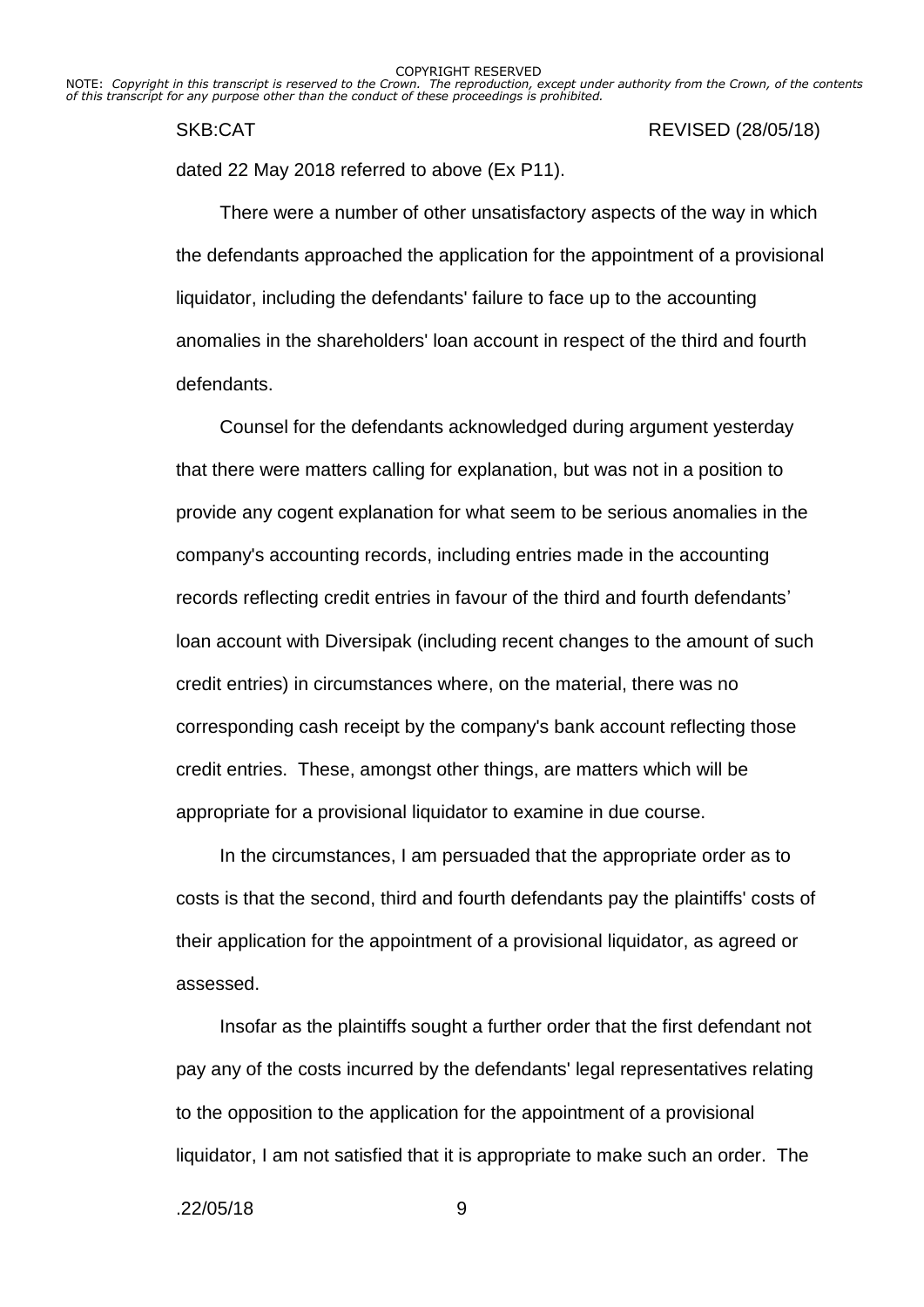NOTE: *Copyright in this transcript is reserved to the Crown. The reproduction, except under authority from the Crown, of the contents of this transcript for any purpose other than the conduct of these proceedings is prohibited.*

SKB:CAT REVISED (28/05/18)

dated 22 May 2018 referred to above (Ex P11).

There were a number of other unsatisfactory aspects of the way in which the defendants approached the application for the appointment of a provisional liquidator, including the defendants' failure to face up to the accounting anomalies in the shareholders' loan account in respect of the third and fourth defendants.

Counsel for the defendants acknowledged during argument yesterday that there were matters calling for explanation, but was not in a position to provide any cogent explanation for what seem to be serious anomalies in the company's accounting records, including entries made in the accounting records reflecting credit entries in favour of the third and fourth defendants' loan account with Diversipak (including recent changes to the amount of such credit entries) in circumstances where, on the material, there was no corresponding cash receipt by the company's bank account reflecting those credit entries. These, amongst other things, are matters which will be appropriate for a provisional liquidator to examine in due course.

In the circumstances, I am persuaded that the appropriate order as to costs is that the second, third and fourth defendants pay the plaintiffs' costs of their application for the appointment of a provisional liquidator, as agreed or assessed.

Insofar as the plaintiffs sought a further order that the first defendant not pay any of the costs incurred by the defendants' legal representatives relating to the opposition to the application for the appointment of a provisional liquidator, I am not satisfied that it is appropriate to make such an order. The